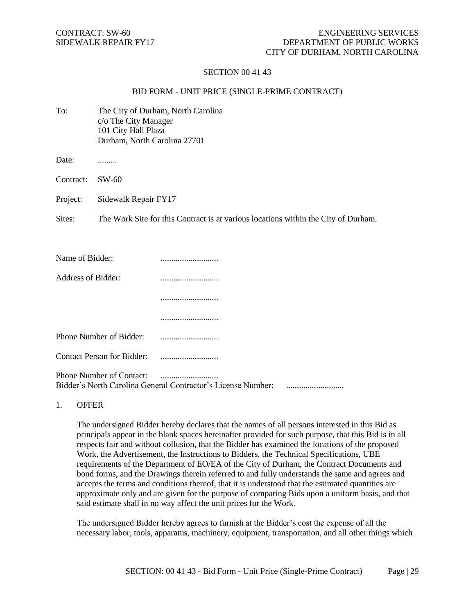### SECTION 00 41 43

### BID FORM - UNIT PRICE (SINGLE-PRIME CONTRACT)

| To:                | c/o The City Manager<br>101 City Hall Plaza<br>Durham, North Carolina 27701 | The City of Durham, North Carolina                                                 |
|--------------------|-----------------------------------------------------------------------------|------------------------------------------------------------------------------------|
| Date:              |                                                                             |                                                                                    |
| Contract:          | $SW-60$                                                                     |                                                                                    |
| Project:           | Sidewalk Repair FY17                                                        |                                                                                    |
| Sites:             |                                                                             | The Work Site for this Contract is at various locations within the City of Durham. |
|                    |                                                                             |                                                                                    |
| Name of Bidder:    |                                                                             |                                                                                    |
| Address of Bidder: |                                                                             |                                                                                    |
|                    |                                                                             |                                                                                    |
|                    |                                                                             |                                                                                    |
|                    | Phone Number of Bidder:                                                     |                                                                                    |
|                    | <b>Contact Person for Bidder:</b>                                           |                                                                                    |
|                    |                                                                             |                                                                                    |

Phone Number of Contact: ........................... Bidder's North Carolina General Contractor's License Number: ...........................

1. OFFER

The undersigned Bidder hereby declares that the names of all persons interested in this Bid as principals appear in the blank spaces hereinafter provided for such purpose, that this Bid is in all respects fair and without collusion, that the Bidder has examined the locations of the proposed Work, the Advertisement, the Instructions to Bidders, the Technical Specifications, UBE requirements of the Department of EO/EA of the City of Durham, the Contract Documents and bond forms, and the Drawings therein referred to and fully understands the same and agrees and accepts the terms and conditions thereof, that it is understood that the estimated quantities are approximate only and are given for the purpose of comparing Bids upon a uniform basis, and that said estimate shall in no way affect the unit prices for the Work.

The undersigned Bidder hereby agrees to furnish at the Bidder's cost the expense of all the necessary labor, tools, apparatus, machinery, equipment, transportation, and all other things which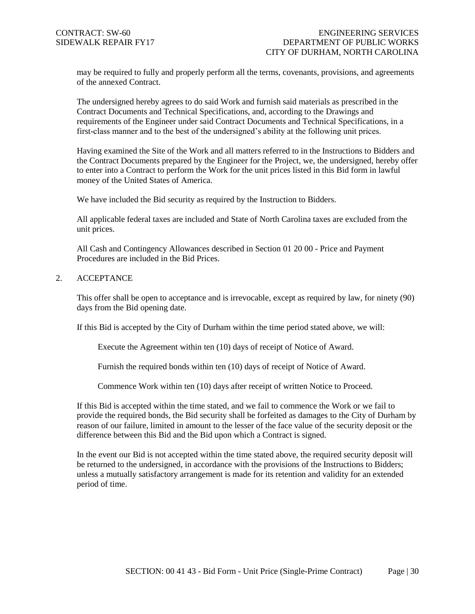may be required to fully and properly perform all the terms, covenants, provisions, and agreements of the annexed Contract.

The undersigned hereby agrees to do said Work and furnish said materials as prescribed in the Contract Documents and Technical Specifications, and, according to the Drawings and requirements of the Engineer under said Contract Documents and Technical Specifications, in a first-class manner and to the best of the undersigned's ability at the following unit prices.

Having examined the Site of the Work and all matters referred to in the Instructions to Bidders and the Contract Documents prepared by the Engineer for the Project, we, the undersigned, hereby offer to enter into a Contract to perform the Work for the unit prices listed in this Bid form in lawful money of the United States of America.

We have included the Bid security as required by the Instruction to Bidders.

All applicable federal taxes are included and State of North Carolina taxes are excluded from the unit prices.

All Cash and Contingency Allowances described in Section 01 20 00 - Price and Payment Procedures are included in the Bid Prices.

# 2. ACCEPTANCE

This offer shall be open to acceptance and is irrevocable, except as required by law, for ninety (90) days from the Bid opening date.

If this Bid is accepted by the City of Durham within the time period stated above, we will:

Execute the Agreement within ten (10) days of receipt of Notice of Award.

Furnish the required bonds within ten (10) days of receipt of Notice of Award.

Commence Work within ten (10) days after receipt of written Notice to Proceed.

If this Bid is accepted within the time stated, and we fail to commence the Work or we fail to provide the required bonds, the Bid security shall be forfeited as damages to the City of Durham by reason of our failure, limited in amount to the lesser of the face value of the security deposit or the difference between this Bid and the Bid upon which a Contract is signed.

In the event our Bid is not accepted within the time stated above, the required security deposit will be returned to the undersigned, in accordance with the provisions of the Instructions to Bidders; unless a mutually satisfactory arrangement is made for its retention and validity for an extended period of time.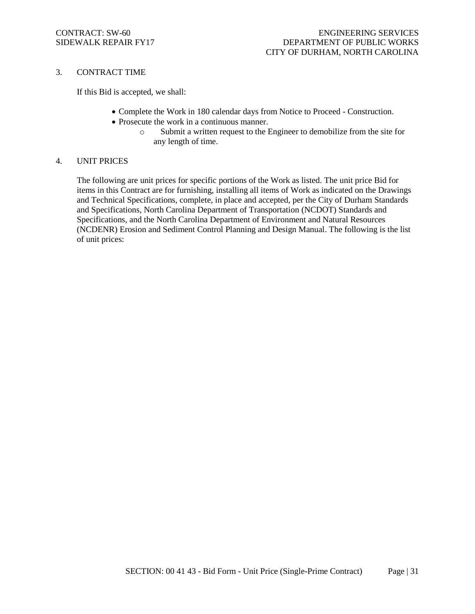### 3. CONTRACT TIME

If this Bid is accepted, we shall:

- Complete the Work in 180 calendar days from Notice to Proceed Construction.
- Prosecute the work in a continuous manner.
	- o Submit a written request to the Engineer to demobilize from the site for any length of time.

### 4. UNIT PRICES

The following are unit prices for specific portions of the Work as listed. The unit price Bid for items in this Contract are for furnishing, installing all items of Work as indicated on the Drawings and Technical Specifications, complete, in place and accepted, per the City of Durham Standards and Specifications, North Carolina Department of Transportation (NCDOT) Standards and Specifications, and the North Carolina Department of Environment and Natural Resources (NCDENR) Erosion and Sediment Control Planning and Design Manual. The following is the list of unit prices: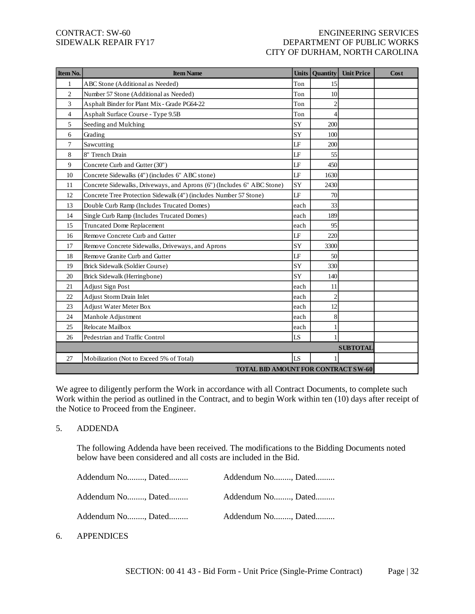# CONTRACT: SW-60 ENGINEERING SERVICES SIDEWALK REPAIR FY17 DEPARTMENT OF PUBLIC WORKS CITY OF DURHAM, NORTH CAROLINA

| Item No.       | <b>Item Name</b>                                                       | <b>Units</b> | Quantity       | <b>Unit Price</b> | Cost |
|----------------|------------------------------------------------------------------------|--------------|----------------|-------------------|------|
| 1              | ABC Stone (Additional as Needed)                                       | Ton          | 15             |                   |      |
| $\overline{c}$ | Number 57 Stone (Additional as Needed)                                 | Ton          | 10             |                   |      |
| 3              | Asphalt Binder for Plant Mix - Grade PG64-22                           | Ton          | $\mathcal{D}$  |                   |      |
| 4              | Asphalt Surface Course - Type 9.5B                                     | Ton          | 4              |                   |      |
| 5              | Seeding and Mulching                                                   | SY           | 200            |                   |      |
| 6              | Grading                                                                | <b>SY</b>    | 100            |                   |      |
| $\tau$         | Sawcutting                                                             | LF           | 200            |                   |      |
| 8              | 8" Trench Drain                                                        | LF           | 55             |                   |      |
| 9              | Concrete Curb and Gutter (30")                                         | LF           | 450            |                   |      |
| 10             | Concrete Sidewalks (4") (includes 6" ABC stone)                        | LF           | 1630           |                   |      |
| 11             | Concrete Sidewalks, Driveways, and Aprons (6") (Includes 6" ABC Stone) | SY           | 2430           |                   |      |
| 12             | Concrete Tree Protection Sidewalk (4") (includes Number 57 Stone)      | LF           | 70             |                   |      |
| 13             | Double Curb Ramp (Includes Trucated Domes)                             | each         | 33             |                   |      |
| 14             | Single Curb Ramp (Includes Trucated Domes)                             | each         | 189            |                   |      |
| 15             | Truncated Dome Replacement                                             | each         | 95             |                   |      |
| 16             | Remove Concrete Curb and Gutter                                        | LF           | 220            |                   |      |
| 17             | Remove Concrete Sidewalks, Driveways, and Aprons                       | SY           | 3300           |                   |      |
| 18             | Remove Granite Curb and Gutter                                         | LF           | 50             |                   |      |
| 19             | Brick Sidewalk (Soldier Course)                                        | SY           | 330            |                   |      |
| 20             | Brick Sidewalk (Herringbone)                                           | SY           | 140            |                   |      |
| 21             | <b>Adjust Sign Post</b>                                                | each         | 11             |                   |      |
| 22             | Adjust Storm Drain Inlet                                               | each         | $\overline{c}$ |                   |      |
| 23             | <b>Adjust Water Meter Box</b>                                          | each         | 12             |                   |      |
| 24             | Manhole Adjustment                                                     | each         | 8              |                   |      |
| 25             | Relocate Mailbox                                                       | each         | 1              |                   |      |
| 26             | Pedestrian and Traffic Control                                         | LS           |                |                   |      |
|                |                                                                        |              |                | <b>SUBTOTAL</b>   |      |
| 27             | Mobilization (Not to Exceed 5% of Total)                               | LS           |                |                   |      |
|                | <b>TOTAL BID AMOUNT FOR CONTRACT SW-60</b>                             |              |                |                   |      |

We agree to diligently perform the Work in accordance with all Contract Documents, to complete such Work within the period as outlined in the Contract, and to begin Work within ten (10) days after receipt of the Notice to Proceed from the Engineer.

### 5. ADDENDA

The following Addenda have been received. The modifications to the Bidding Documents noted below have been considered and all costs are included in the Bid.

| Addendum No, Dated | Addendum No, Dated |  |
|--------------------|--------------------|--|
| Addendum No, Dated | Addendum No, Dated |  |
| Addendum No, Dated | Addendum No, Dated |  |

6. APPENDICES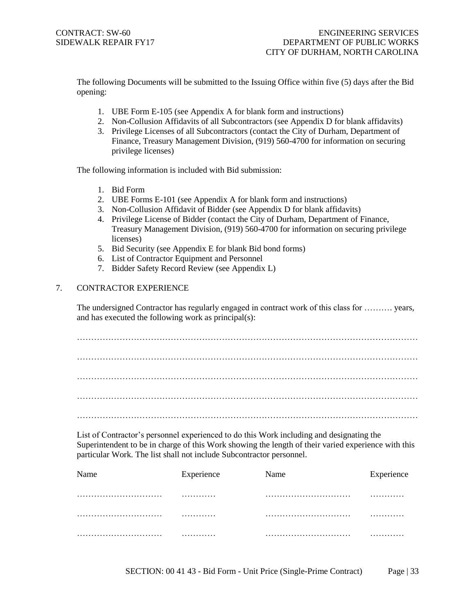The following Documents will be submitted to the Issuing Office within five (5) days after the Bid opening:

- 1. UBE Form E-105 (see Appendix A for blank form and instructions)
- 2. Non-Collusion Affidavits of all Subcontractors (see Appendix D for blank affidavits)
- 3. Privilege Licenses of all Subcontractors (contact the City of Durham, Department of Finance, Treasury Management Division, (919) 560-4700 for information on securing privilege licenses)

The following information is included with Bid submission:

- 1. Bid Form
- 2. UBE Forms E-101 (see Appendix A for blank form and instructions)
- 3. Non-Collusion Affidavit of Bidder (see Appendix D for blank affidavits)
- 4. Privilege License of Bidder (contact the City of Durham, Department of Finance, Treasury Management Division, (919) 560-4700 for information on securing privilege licenses)
- 5. Bid Security (see Appendix E for blank Bid bond forms)
- 6. List of Contractor Equipment and Personnel
- 7. Bidder Safety Record Review (see Appendix L)

# 7. CONTRACTOR EXPERIENCE

The undersigned Contractor has regularly engaged in contract work of this class for ………. years, and has executed the following work as principal(s):

………………………………………………………………………………………………………… …………………………………………………………………………………………………………

List of Contractor's personnel experienced to do this Work including and designating the Superintendent to be in charge of this Work showing the length of their varied experience with this particular Work. The list shall not include Subcontractor personnel.

| Name | Experience | Name | Experience |
|------|------------|------|------------|
|      |            |      | .          |
|      |            |      | .          |
|      | .          |      |            |

SECTION: 00 41 43 - Bid Form - Unit Price (Single-Prime Contract) Page | 33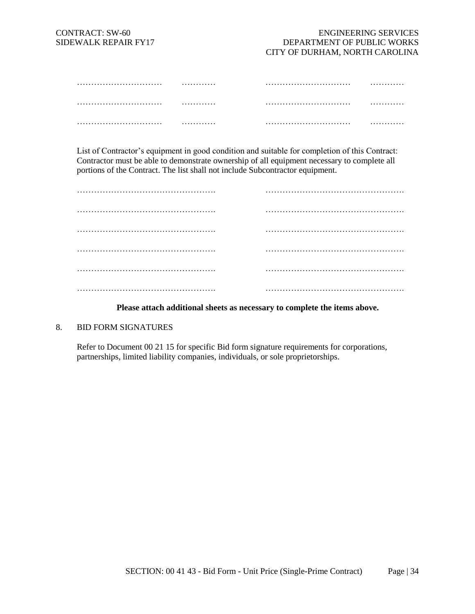| . | . |
|---|---|
| . | . |
| . | . |

List of Contractor's equipment in good condition and suitable for completion of this Contract: Contractor must be able to demonstrate ownership of all equipment necessary to complete all portions of the Contract. The list shall not include Subcontractor equipment.

| . . |
|-----|

### **Please attach additional sheets as necessary to complete the items above.**

### 8. BID FORM SIGNATURES

Refer to Document 00 21 15 for specific Bid form signature requirements for corporations, partnerships, limited liability companies, individuals, or sole proprietorships.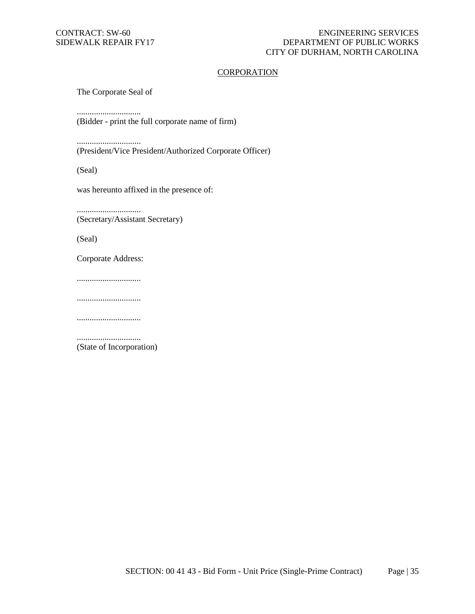### **CORPORATION**

The Corporate Seal of

..............................

(Bidder - print the full corporate name of firm)

..............................

(President/Vice President/Authorized Corporate Officer)

(Seal)

was hereunto affixed in the presence of:

.............................. (Secretary/Assistant Secretary)

(Seal)

Corporate Address:

..............................

..............................

..............................

.............................. (State of Incorporation)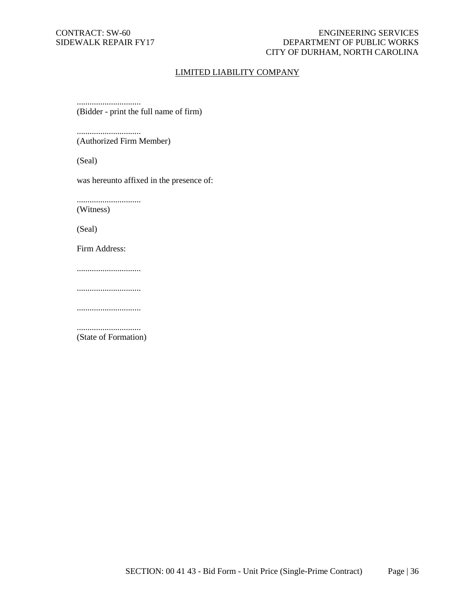### CONTRACT: SW-60 ENGINEERING SERVICES SIDEWALK REPAIR FY17 DEPARTMENT OF PUBLIC WORKS CITY OF DURHAM, NORTH CAROLINA

### LIMITED LIABILITY COMPANY

.............................. (Bidder - print the full name of firm)

.............................. (Authorized Firm Member)

(Seal)

was hereunto affixed in the presence of:

..............................

(Witness)

(Seal)

Firm Address:

..............................

..............................

..............................

.............................. (State of Formation)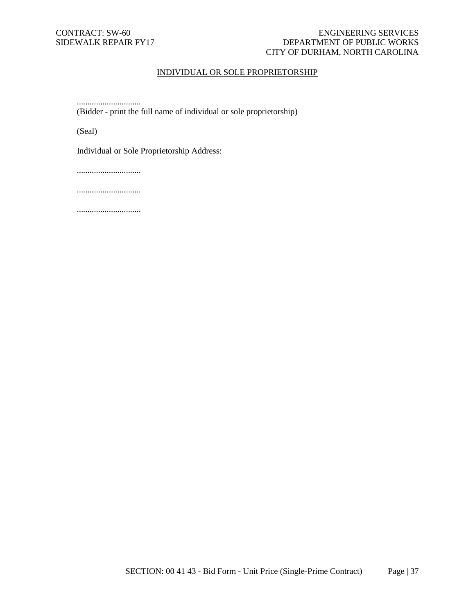### CONTRACT: SW-60 ENGINEERING SERVICES SIDEWALK REPAIR FY17 DEPARTMENT OF PUBLIC WORKS CITY OF DURHAM, NORTH CAROLINA

# INDIVIDUAL OR SOLE PROPRIETORSHIP

.............................. (Bidder - print the full name of individual or sole proprietorship)

(Seal)

Individual or Sole Proprietorship Address:

..............................

..............................

..............................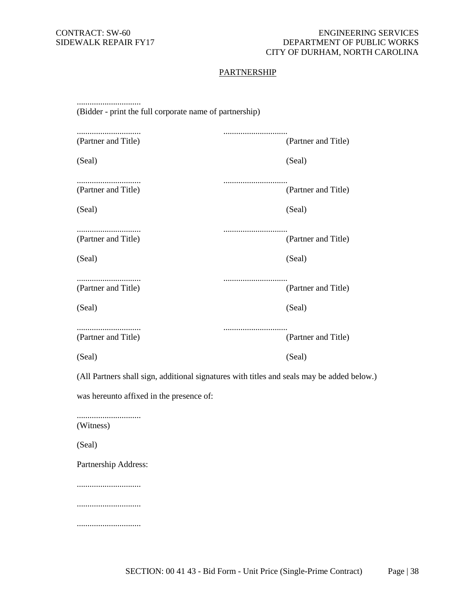# **PARTNERSHIP**

| (Bidder - print the full corporate name of partnership) |                                                                                            |
|---------------------------------------------------------|--------------------------------------------------------------------------------------------|
| (Partner and Title)                                     | (Partner and Title)                                                                        |
| (Seal)                                                  | (Seal)                                                                                     |
| (Partner and Title)                                     | (Partner and Title)                                                                        |
| (Seal)                                                  | (Seal)                                                                                     |
| <br>(Partner and Title)                                 | (Partner and Title)                                                                        |
| (Seal)                                                  | (Seal)                                                                                     |
| (Partner and Title)                                     | <br>(Partner and Title)                                                                    |
| (Seal)                                                  | (Seal)                                                                                     |
|                                                         |                                                                                            |
| <br>(Partner and Title)                                 | (Partner and Title)                                                                        |
| (Seal)                                                  | (Seal)                                                                                     |
|                                                         | (All Partners shall sign, additional signatures with titles and seals may be added below.) |
| was hereunto affixed in the presence of:                |                                                                                            |
| (Witness)                                               |                                                                                            |
| (Seal)                                                  |                                                                                            |
| Partnership Address:                                    |                                                                                            |
|                                                         |                                                                                            |
|                                                         |                                                                                            |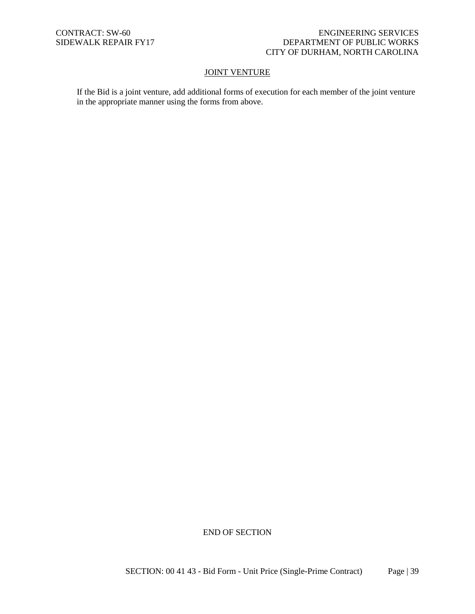### **JOINT VENTURE**

If the Bid is a joint venture, add additional forms of execution for each member of the joint venture in the appropriate manner using the forms from above.

END OF SECTION